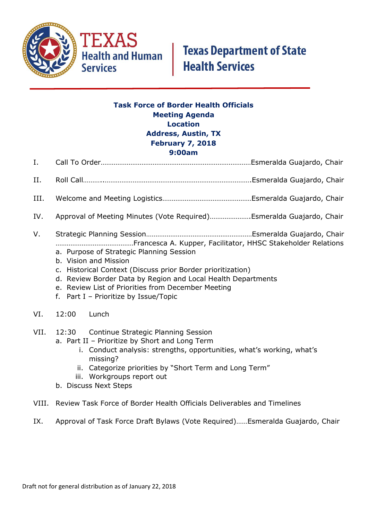

## **Task Force of Border Health Officials Meeting Agenda Location Address, Austin, TX February 7, 2018 9:00am**

- I. Call To Order………………………………………………………………………Esmeralda Guajardo, Chair
- II. Roll Call………..…………………………………………………………………….Esmeralda Guajardo, Chair
- III. Welcome and Meeting Logistics…………………………………………Esmeralda Guajardo, Chair
- IV. Approval of Meeting Minutes (Vote Required)………………….Esmeralda Guajardo, Chair
- V. Strategic Planning Session…………………………………………………Esmeralda Guajardo, Chair ……………………………………Francesca A. Kupper, Facilitator, HHSC Stakeholder Relations
	- a. Purpose of Strategic Planning Session
	- b. Vision and Mission
	- c. Historical Context (Discuss prior Border prioritization)
	- d. Review Border Data by Region and Local Health Departments
	- e. Review List of Priorities from December Meeting
	- f. Part I Prioritize by Issue/Topic
- VI. 12:00 Lunch
- VII. 12:30 Continue Strategic Planning Session
	- a. Part II Prioritize by Short and Long Term
		- i. Conduct analysis: strengths, opportunities, what's working, what's missing?
		- ii. Categorize priorities by "Short Term and Long Term"
		- iii. Workgroups report out
	- b. Discuss Next Steps
- VIII. Review Task Force of Border Health Officials Deliverables and Timelines
- IX. Approval of Task Force Draft Bylaws (Vote Required)……Esmeralda Guajardo, Chair